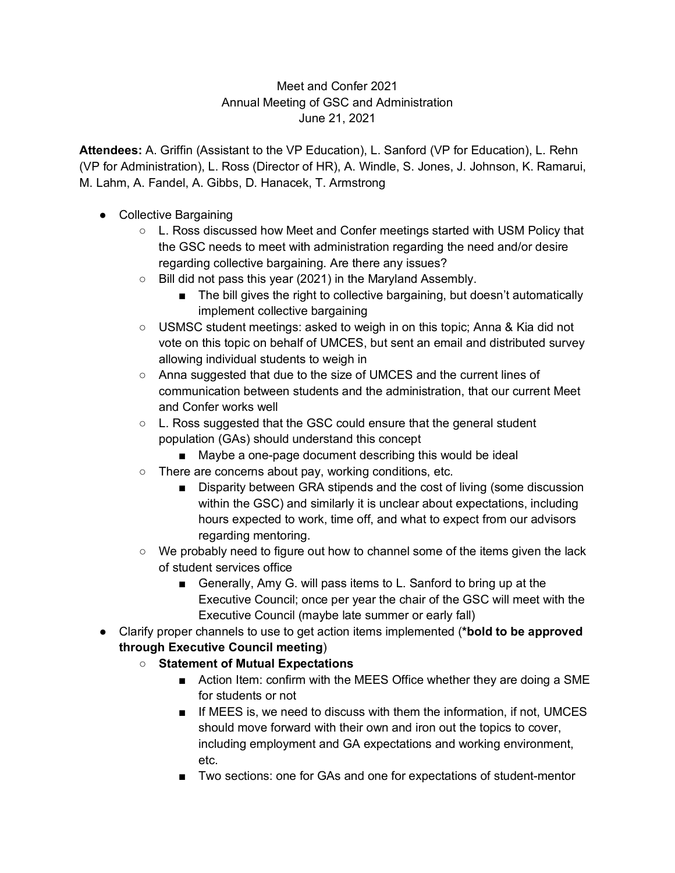## Meet and Confer 2021 Annual Meeting of GSC and Administration June 21, 2021

**Attendees:** A. Griffin (Assistant to the VP Education), L. Sanford (VP for Education), L. Rehn (VP for Administration), L. Ross (Director of HR), A. Windle, S. Jones, J. Johnson, K. Ramarui, M. Lahm, A. Fandel, A. Gibbs, D. Hanacek, T. Armstrong

- Collective Bargaining
	- L. Ross discussed how Meet and Confer meetings started with USM Policy that the GSC needs to meet with administration regarding the need and/or desire regarding collective bargaining. Are there any issues?
	- Bill did not pass this year (2021) in the Maryland Assembly.
		- The bill gives the right to collective bargaining, but doesn't automatically implement collective bargaining
	- USMSC student meetings: asked to weigh in on this topic; Anna & Kia did not vote on this topic on behalf of UMCES, but sent an email and distributed survey allowing individual students to weigh in
	- Anna suggested that due to the size of UMCES and the current lines of communication between students and the administration, that our current Meet and Confer works well
	- L. Ross suggested that the GSC could ensure that the general student population (GAs) should understand this concept
		- Maybe a one-page document describing this would be ideal
	- There are concerns about pay, working conditions, etc.
		- Disparity between GRA stipends and the cost of living (some discussion within the GSC) and similarly it is unclear about expectations, including hours expected to work, time off, and what to expect from our advisors regarding mentoring.
	- We probably need to figure out how to channel some of the items given the lack of student services office
		- Generally, Amy G. will pass items to L. Sanford to bring up at the Executive Council; once per year the chair of the GSC will meet with the Executive Council (maybe late summer or early fall)
- Clarify proper channels to use to get action items implemented (**\*bold to be approved through Executive Council meeting**)
	- **Statement of Mutual Expectations**
		- Action Item: confirm with the MEES Office whether they are doing a SME for students or not
		- If MEES is, we need to discuss with them the information, if not, UMCES should move forward with their own and iron out the topics to cover, including employment and GA expectations and working environment, etc.
		- Two sections: one for GAs and one for expectations of student-mentor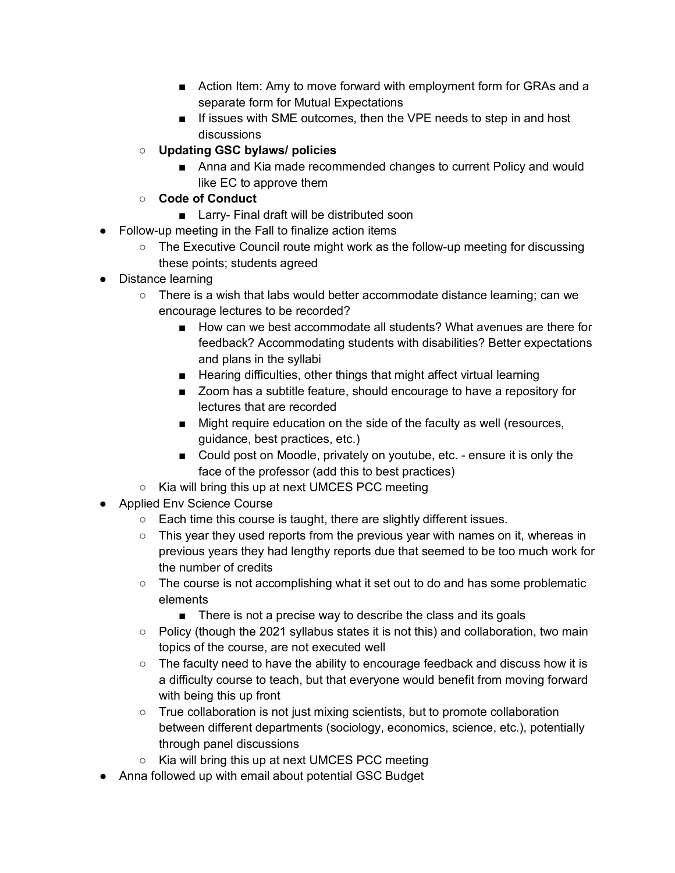- Action Item: Amy to move forward with employment form for GRAs and a separate form for Mutual Expectations
- If issues with SME outcomes, then the VPE needs to step in and host discussions
- **Updating GSC bylaws/ policies**
	- Anna and Kia made recommended changes to current Policy and would like EC to approve them
- **Code of Conduct** 
	- Larry- Final draft will be distributed soon
- Follow-up meeting in the Fall to finalize action items
	- The Executive Council route might work as the follow-up meeting for discussing these points; students agreed
- Distance learning
	- There is a wish that labs would better accommodate distance learning; can we encourage lectures to be recorded?
		- How can we best accommodate all students? What avenues are there for feedback? Accommodating students with disabilities? Better expectations and plans in the syllabi
		- Hearing difficulties, other things that might affect virtual learning
		- Zoom has a subtitle feature, should encourage to have a repository for lectures that are recorded
		- Might require education on the side of the faculty as well (resources, guidance, best practices, etc.)
		- Could post on Moodle, privately on youtube, etc. ensure it is only the face of the professor (add this to best practices)
	- Kia will bring this up at next UMCES PCC meeting
- Applied Env Science Course
	- Each time this course is taught, there are slightly different issues.
	- $\circ$  This year they used reports from the previous year with names on it, whereas in previous years they had lengthy reports due that seemed to be too much work for the number of credits
	- $\circ$  The course is not accomplishing what it set out to do and has some problematic elements
		- There is not a precise way to describe the class and its goals
	- $\circ$  Policy (though the 2021 syllabus states it is not this) and collaboration, two main topics of the course, are not executed well
	- $\circ$  The faculty need to have the ability to encourage feedback and discuss how it is a difficulty course to teach, but that everyone would benefit from moving forward with being this up front
	- True collaboration is not just mixing scientists, but to promote collaboration between different departments (sociology, economics, science, etc.), potentially through panel discussions
	- Kia will bring this up at next UMCES PCC meeting
- Anna followed up with email about potential GSC Budget